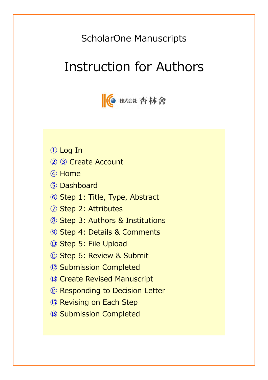## ScholarOne Manuscripts

# Instruction for Authors



- Log In
- ② ③ Create Account
- Home
- Dashboard
- Step 1: Title, Type, Abstract
- Step 2: Attributes
- Step 3: Authors & Institutions
- Step 4: Details & Comments
- Step 5: File Upload
- Step 6: Review & Submit
- Submission Completed
- Create Revised Manuscript
- Responding to Decision Letter
- **15 Revising on Each Step**
- Submission Completed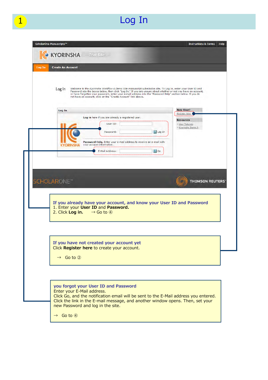# 1 Log In

| <b>Create An Account</b>       |                                                                                                                                                                                                                                |              |                                           |
|--------------------------------|--------------------------------------------------------------------------------------------------------------------------------------------------------------------------------------------------------------------------------|--------------|-------------------------------------------|
|                                |                                                                                                                                                                                                                                |              |                                           |
| Log In                         | Welcome to the Kyorinsha Workflow 4 Demo Site manuscript submission site. To Log In, enter your User ID and<br>Password into the boxes below, then click "Log In." If you are unsure about whether or not you have an account, |              |                                           |
|                                | or have forgotten your password, enter your e-mail address into the "Password Help" section below. If you do<br>not have an account, click on the "Create Account" link above.                                                 |              |                                           |
|                                |                                                                                                                                                                                                                                |              |                                           |
| Log In                         |                                                                                                                                                                                                                                |              | <b>New User?</b><br>Register here         |
|                                | Log in here if you are already a registered user.                                                                                                                                                                              |              | <b>Resources</b>                          |
|                                | User ID:                                                                                                                                                                                                                       |              | <b>User Tutorials</b><br>Kyorinsha Demo A |
|                                | Password:                                                                                                                                                                                                                      | U Log In     |                                           |
| KYORINSHA                      | Password Help. Enter your e-mail address to receive an e-mail with<br>your account information.                                                                                                                                |              |                                           |
|                                | E-Mail Address:                                                                                                                                                                                                                | $\bigcup$ Go |                                           |
| <b>SCHOLARONE</b> <sup>®</sup> |                                                                                                                                                                                                                                |              |                                           |
|                                | If you already have your account, and know your User ID and Password<br>1. Enter your User ID and Password.<br>2. Click Log in. $\rightarrow$ Go to 4                                                                          |              |                                           |
|                                |                                                                                                                                                                                                                                |              |                                           |
|                                |                                                                                                                                                                                                                                |              |                                           |
|                                | If you have not created your account yet<br>Click Register here to create your account.                                                                                                                                        |              |                                           |
| $\rightarrow$ Go to 2          |                                                                                                                                                                                                                                |              |                                           |
|                                |                                                                                                                                                                                                                                |              |                                           |
|                                |                                                                                                                                                                                                                                |              |                                           |
|                                | you forgot your User ID and Password                                                                                                                                                                                           |              |                                           |
|                                | Enter your E-Mail address.                                                                                                                                                                                                     |              |                                           |
|                                | Click Go, and the notification email will be sent to the E-Mail address you entered.<br>Click the link in the E-mail message, and another window opens. Then, set your                                                         |              |                                           |
|                                | new Password and log in the site.                                                                                                                                                                                              |              |                                           |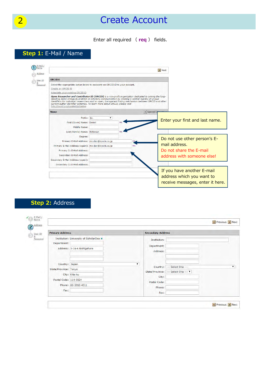## 2 **Create Account**

Enter all required ( **req** ) fields.

### **Step 1:** E-Mail / Name

|                                                     |                                                                                                                                                                                                                                                                                                                                                                                                          | Next                             |
|-----------------------------------------------------|----------------------------------------------------------------------------------------------------------------------------------------------------------------------------------------------------------------------------------------------------------------------------------------------------------------------------------------------------------------------------------------------------------|----------------------------------|
| <b>ORCID®</b>                                       |                                                                                                                                                                                                                                                                                                                                                                                                          |                                  |
|                                                     | Select the appropriate option below to associate an ORCID iD to your account.                                                                                                                                                                                                                                                                                                                            |                                  |
| Create an ORCID iD                                  |                                                                                                                                                                                                                                                                                                                                                                                                          |                                  |
| Associate your existing ORCID iD                    |                                                                                                                                                                                                                                                                                                                                                                                                          |                                  |
| http://orcid.org/content/initiative.                | Open Researcher and Contributor ID (ORCID) is a non-profit organization dedicated to solving the long-<br>standing name ambiguity problem in scholarly communication by creating a central registry of unique<br>identifiers for individual researchers and an open, transparent linking mechanism between ORCID and other<br>current author identifier schemes. To learn more about ORCID, please visit |                                  |
| <b>Name</b>                                         |                                                                                                                                                                                                                                                                                                                                                                                                          | $ \pi $ Special C                |
| Prefix: Dr.                                         |                                                                                                                                                                                                                                                                                                                                                                                                          |                                  |
| First (Given) Name: Daniel                          | rea                                                                                                                                                                                                                                                                                                                                                                                                      | Enter your first and last name.  |
| Middle Name:                                        |                                                                                                                                                                                                                                                                                                                                                                                                          |                                  |
| Last (Family) Name: Mcferson                        | rea                                                                                                                                                                                                                                                                                                                                                                                                      |                                  |
| Degree:                                             |                                                                                                                                                                                                                                                                                                                                                                                                          |                                  |
| Primary E-Mail Address: Imc-dan@kyorin.co.jp        |                                                                                                                                                                                                                                                                                                                                                                                                          | Do not use other person's E-     |
| Primary E-Mail Address (again): mc-dan@kyorin.co.jp | rea                                                                                                                                                                                                                                                                                                                                                                                                      | mail address.                    |
| Primary Cc E-Mail Address:                          |                                                                                                                                                                                                                                                                                                                                                                                                          | Do not share the E-mail          |
| Secondary E-Mail Address:                           |                                                                                                                                                                                                                                                                                                                                                                                                          | address with someone else!       |
| Secondary E-Mail Address (again):                   |                                                                                                                                                                                                                                                                                                                                                                                                          |                                  |
| Secondary Cc E-Mail Address:                        |                                                                                                                                                                                                                                                                                                                                                                                                          |                                  |
|                                                     |                                                                                                                                                                                                                                                                                                                                                                                                          | If you have another E-mail       |
|                                                     |                                                                                                                                                                                                                                                                                                                                                                                                          |                                  |
|                                                     |                                                                                                                                                                                                                                                                                                                                                                                                          | address which you want to        |
|                                                     |                                                                                                                                                                                                                                                                                                                                                                                                          | receive messages, enter it here. |

### **Step 2:** Address

| <b>Primary Address</b>                  |                                                                        | <b>Secondary Address</b>                                                     |
|-----------------------------------------|------------------------------------------------------------------------|------------------------------------------------------------------------------|
| Department:                             | Institution: University of ScholarOne x<br>Address: 3-14-6 Nishigahara | Institution:<br>Department:<br>Address:                                      |
| Country: Japan<br>State/Province: Tokyo | City: Kita-ku                                                          | Country: --- Select One ---<br>State/Province: --- Select One --- V<br>City: |
| Postal Code: 114-0024<br>Fax:           | Phone: 03-3910-4311                                                    | Postal Code:<br>Phone:<br>Fax:                                               |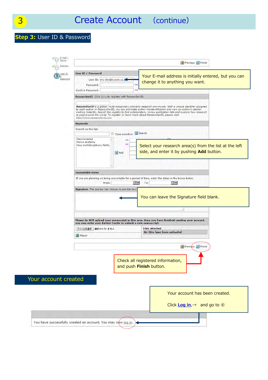### **Step 3:** User ID & Password

| <b>User ID / Password</b><br>Jser ID<br>Password<br>User ID: mc-dan@kyorin.co.jp<br>change it to anything you want.<br>req<br>Password:<br>req<br>Confirm Password:<br>ResearcherID Click here to register with ResearcherID.<br>ResearcherID is a global, multi-disciplinary scholarly research community. With a unique identifier assigned<br>to each author in ResearcherID, you can eliminate author misidentification and view an author's citation<br>metrics instantly. Search the registry to find collaborators, review publication lists and explore how research<br>is used around the world. To register or learn more about ResearcherID, please visit<br>http://www.researcherid.com<br><b>Keywords</b><br>Search on this list:<br>Case sensitive Search<br>Neuroscience<br>req<br>Nerve anatomy<br>req<br>New multidisciplinary fields<br>side, and enter it by pushing Add button.<br>$+$ Add<br><b>Unavailable Dates</b><br>If you are planning on being unavailable for a period of time, enter the dates in the boxes below.<br>$\overline{\circ}$<br>$\overline{\bullet}$<br>From:<br>To:<br>Signature. The journal can choose to use the text<br>You can leave the Signature field blank.<br>Please do NOT upload your manuscript in this area. Once you have finished creating your account,<br>you may enter your Author Center to submit a new manuscript.<br><b>Files attached</b><br>ファイルを選択 選択されていません<br>No files have been uploaded.<br><b>J</b> Attach<br>Previous / Finish<br>Check all registered information,<br>and push Finish button.<br>Your account created<br>Your account has been created.<br>Click Log in, $\rightarrow$ and go to $\circledA$ | E-Mail<br>Name<br>Address | $\Box$ Previous $\Box$ Finish                          |
|------------------------------------------------------------------------------------------------------------------------------------------------------------------------------------------------------------------------------------------------------------------------------------------------------------------------------------------------------------------------------------------------------------------------------------------------------------------------------------------------------------------------------------------------------------------------------------------------------------------------------------------------------------------------------------------------------------------------------------------------------------------------------------------------------------------------------------------------------------------------------------------------------------------------------------------------------------------------------------------------------------------------------------------------------------------------------------------------------------------------------------------------------------------------------------------------------------------------------------------------------------------------------------------------------------------------------------------------------------------------------------------------------------------------------------------------------------------------------------------------------------------------------------------------------------------------------------------------------------------------------------------------------------------------------------------|---------------------------|--------------------------------------------------------|
|                                                                                                                                                                                                                                                                                                                                                                                                                                                                                                                                                                                                                                                                                                                                                                                                                                                                                                                                                                                                                                                                                                                                                                                                                                                                                                                                                                                                                                                                                                                                                                                                                                                                                          |                           | Your E-mail address is initially entered, but you can  |
|                                                                                                                                                                                                                                                                                                                                                                                                                                                                                                                                                                                                                                                                                                                                                                                                                                                                                                                                                                                                                                                                                                                                                                                                                                                                                                                                                                                                                                                                                                                                                                                                                                                                                          |                           |                                                        |
|                                                                                                                                                                                                                                                                                                                                                                                                                                                                                                                                                                                                                                                                                                                                                                                                                                                                                                                                                                                                                                                                                                                                                                                                                                                                                                                                                                                                                                                                                                                                                                                                                                                                                          |                           |                                                        |
|                                                                                                                                                                                                                                                                                                                                                                                                                                                                                                                                                                                                                                                                                                                                                                                                                                                                                                                                                                                                                                                                                                                                                                                                                                                                                                                                                                                                                                                                                                                                                                                                                                                                                          |                           |                                                        |
|                                                                                                                                                                                                                                                                                                                                                                                                                                                                                                                                                                                                                                                                                                                                                                                                                                                                                                                                                                                                                                                                                                                                                                                                                                                                                                                                                                                                                                                                                                                                                                                                                                                                                          |                           |                                                        |
|                                                                                                                                                                                                                                                                                                                                                                                                                                                                                                                                                                                                                                                                                                                                                                                                                                                                                                                                                                                                                                                                                                                                                                                                                                                                                                                                                                                                                                                                                                                                                                                                                                                                                          |                           | Select your research area(s) from the list at the left |
|                                                                                                                                                                                                                                                                                                                                                                                                                                                                                                                                                                                                                                                                                                                                                                                                                                                                                                                                                                                                                                                                                                                                                                                                                                                                                                                                                                                                                                                                                                                                                                                                                                                                                          |                           |                                                        |
|                                                                                                                                                                                                                                                                                                                                                                                                                                                                                                                                                                                                                                                                                                                                                                                                                                                                                                                                                                                                                                                                                                                                                                                                                                                                                                                                                                                                                                                                                                                                                                                                                                                                                          |                           |                                                        |
|                                                                                                                                                                                                                                                                                                                                                                                                                                                                                                                                                                                                                                                                                                                                                                                                                                                                                                                                                                                                                                                                                                                                                                                                                                                                                                                                                                                                                                                                                                                                                                                                                                                                                          |                           |                                                        |
|                                                                                                                                                                                                                                                                                                                                                                                                                                                                                                                                                                                                                                                                                                                                                                                                                                                                                                                                                                                                                                                                                                                                                                                                                                                                                                                                                                                                                                                                                                                                                                                                                                                                                          |                           |                                                        |
|                                                                                                                                                                                                                                                                                                                                                                                                                                                                                                                                                                                                                                                                                                                                                                                                                                                                                                                                                                                                                                                                                                                                                                                                                                                                                                                                                                                                                                                                                                                                                                                                                                                                                          |                           |                                                        |
|                                                                                                                                                                                                                                                                                                                                                                                                                                                                                                                                                                                                                                                                                                                                                                                                                                                                                                                                                                                                                                                                                                                                                                                                                                                                                                                                                                                                                                                                                                                                                                                                                                                                                          |                           |                                                        |
|                                                                                                                                                                                                                                                                                                                                                                                                                                                                                                                                                                                                                                                                                                                                                                                                                                                                                                                                                                                                                                                                                                                                                                                                                                                                                                                                                                                                                                                                                                                                                                                                                                                                                          |                           |                                                        |
|                                                                                                                                                                                                                                                                                                                                                                                                                                                                                                                                                                                                                                                                                                                                                                                                                                                                                                                                                                                                                                                                                                                                                                                                                                                                                                                                                                                                                                                                                                                                                                                                                                                                                          |                           |                                                        |
|                                                                                                                                                                                                                                                                                                                                                                                                                                                                                                                                                                                                                                                                                                                                                                                                                                                                                                                                                                                                                                                                                                                                                                                                                                                                                                                                                                                                                                                                                                                                                                                                                                                                                          |                           |                                                        |
|                                                                                                                                                                                                                                                                                                                                                                                                                                                                                                                                                                                                                                                                                                                                                                                                                                                                                                                                                                                                                                                                                                                                                                                                                                                                                                                                                                                                                                                                                                                                                                                                                                                                                          |                           |                                                        |
|                                                                                                                                                                                                                                                                                                                                                                                                                                                                                                                                                                                                                                                                                                                                                                                                                                                                                                                                                                                                                                                                                                                                                                                                                                                                                                                                                                                                                                                                                                                                                                                                                                                                                          |                           |                                                        |
| You have successfully created an account. You may now log in.                                                                                                                                                                                                                                                                                                                                                                                                                                                                                                                                                                                                                                                                                                                                                                                                                                                                                                                                                                                                                                                                                                                                                                                                                                                                                                                                                                                                                                                                                                                                                                                                                            |                           |                                                        |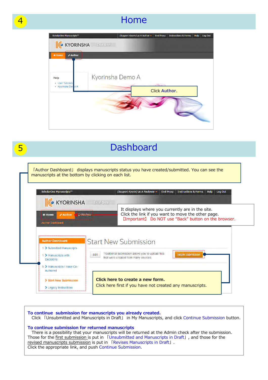### **Home**

| ScholarOne Manuscripts™                               |                  | (Support Kyorin) as A Author + | <b>End Proxy</b>     | <b>Instructions &amp; Forms</b> | Help | Log Out |
|-------------------------------------------------------|------------------|--------------------------------|----------------------|---------------------------------|------|---------|
| <b>KYORINSHA</b><br>$\sqrt{6}$<br>                    | Trial Site       |                                |                      |                                 |      |         |
| <b># Home</b><br><b><i>Author</i></b><br>,,,,,,,,<br> |                  |                                |                      |                                 |      |         |
| Help<br>• User Tutorials<br>- Kyorinsha Der o A       | Kyorinsha Demo A |                                | <b>Click Author.</b> |                                 |      |         |
|                                                       |                  |                                |                      |                                 |      |         |

|                                                                                   | <b>Dashboard</b>                                                                                                                                               |
|-----------------------------------------------------------------------------------|----------------------------------------------------------------------------------------------------------------------------------------------------------------|
|                                                                                   | [Author Dashboard] displays manuscripts status you have created/submitted. You can see the<br>manuscripts at the bottom by clicking on each list.              |
|                                                                                   |                                                                                                                                                                |
| <b>ScholarOne Manuscripts™</b><br><b>KYORINSHA</b>                                | (Support Kyorin) as A Reviewer<br><b>End Proxy</b><br><b>Instructions &amp; Forms</b><br><b>Help</b><br>Log Out<br>Trial Site                                  |
| <b><i><del>&amp;</del></i></b> Home<br><b>∕ Author</b><br><b>Author Dashboard</b> | It displays where you currently are in the site.<br>Click the link if you want to move the other page.<br>[Important] Do NOT use "Back" button on the browser. |
|                                                                                   |                                                                                                                                                                |
| <b>Author Dashboard</b>                                                           | <b>Start New Submission</b>                                                                                                                                    |
| 1 > Submitted Manuscripts<br>1 > Manuscripts with<br><b>Decisions</b>             | Traditional submission allows you to upload files<br>Edit<br><b>Begin Submission</b><br>that were created from many sources.                                   |
| 5 > Manuscripts I Have Co-<br>Authored                                            |                                                                                                                                                                |
| > Start New Submission<br>$\blacktriangleright$ Legacy Instructions               | Click here to create a new form.<br>Click here first if you have not created any manuscripts.                                                                  |

**To continue submission for manuscripts you already created.** Click 「Unsubmitted and Manuscripts in Draft」 in My Manuscripts, and click Continue Submission button. **To continue submission for returned manuscripts** There is a possibility that your manuscripts will be returned at the Admin check after the submission. Those for the first submission is put in 「Unsubmitted and Manuscripts in Draft」, and those for the revised manuscripts submission is put in 「Revises Manuscripts in Draft」. Click the appropriate link, and push Continue Submission.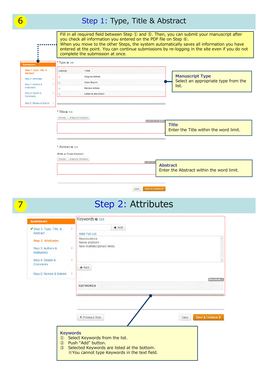**6** Step 1: Type, Title & Abstract Fill in all required field between Step 1 and 5. Then, you can submit your manuscript after you check all information you entered on the PDF file on Step ⑥. When you move to the other Steps, the system automatically saves all information you have entered at the point. You can continue submissions by re-logging in the site even if you do not complete the submission at once. Type: @ Edit Step 1: Type, Title, & CHOICE TYPE Abstract **Manuscript Type Original Article** Step 2: Attributes Select an appropriate type from the Case Report  $\circ$ Step 3: Authors &  $\rightarrow$ list. Institutions **Review Article** Step 4: Details & Letter to the Editor Comments Sten 6: Review & Submit - 3 \* Title @ Edit Preview  $\hat{\Omega}$  Special Characters 0 OUT OF 50 W **Title** Enter the Title within the word limit. \* Abstract @ Edit **Write or Paste Abstract**  $\begin{tabular}{|c|c|} \hline \textbf{Preview} & \textbf{\textit{O}} Special Characteristics \\ \hline \end{tabular}$ 0 OUT OF **Abstract** Enter the Abstract within the word limit.



### Step 2: Attributes

| <b>Submission</b>                                                                          |                 | Keywords @ Edit                                                                                                                                     |         |      |                   |
|--------------------------------------------------------------------------------------------|-----------------|-----------------------------------------------------------------------------------------------------------------------------------------------------|---------|------|-------------------|
| Step 1: Type, Title, &                                                                     | ×               |                                                                                                                                                     | $+$ Add |      |                   |
| Abstract                                                                                   |                 | <b>Hide Full List</b>                                                                                                                               |         |      |                   |
| <b>Step 2: Attributes</b><br>Step 3: Authors &<br><b>Institutions</b><br>Step 4: Details & | э               | Neuroscience<br>Nerve anatomy<br>New multidisciplinary fields                                                                                       |         |      |                   |
| <b>Comments</b>                                                                            |                 | $+$ Add                                                                                                                                             |         |      |                   |
| Step 6: Review & Submit                                                                    | 计定              |                                                                                                                                                     |         |      |                   |
|                                                                                            |                 |                                                                                                                                                     |         |      | <b>MAXIMUM 3</b>  |
|                                                                                            |                 | <b>KEYWORDS</b>                                                                                                                                     |         |      |                   |
|                                                                                            |                 | ≮ Previous Step                                                                                                                                     |         | Save | Save & Continue > |
| $\circled{1}$<br>$\circled{2}$<br>$\circled{3}$                                            | <b>Keywords</b> | Select Keywords from the list.<br>Push "Add" button.<br>Selected Keywords are listed at the bottom.<br>XYou cannot type Keywords in the text field. |         |      |                   |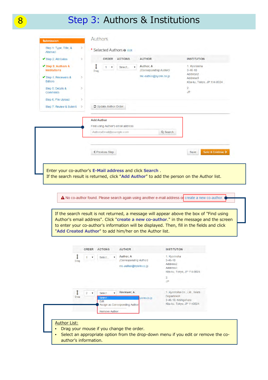### 8 Step 3: Authors & Institutions

| ◆ Step 2: Attributes                                                                                                                                                     | r                   | ORDER<br><b>ACTIONS</b><br><b>AUTHOR</b>                                                                                                            | <b>INSTITUTION</b>                                                                                      |
|--------------------------------------------------------------------------------------------------------------------------------------------------------------------------|---------------------|-----------------------------------------------------------------------------------------------------------------------------------------------------|---------------------------------------------------------------------------------------------------------|
| ✔ Step 3: Authors &<br><b>Institutions</b><br>✔ Step 4: Reviewers &<br>Editors<br>Step 5: Details &<br><b>Comments</b><br>Step 6: File Upload<br>Step 7: Review & Submit | ð.<br>ð.<br>ð.<br>÷ | Author, A<br>1<br>Select<br>$\pmb{\mathrm{v}}$<br>$\mathbf{v}$<br>(Corresponding Author)<br>Drag<br>mc-author@kyorin.co.jp<br>C Update Author Order | 1. Kyorinsha<br>$3 - 46 - 10$<br>Address2<br>Address3<br>Kita-ku, Tokyo, JP 114-0024<br>2.<br><b>JP</b> |
|                                                                                                                                                                          |                     | <b>Add Author</b><br>Find using Author's email address<br>AuthorsEmail@example.com<br>Q Search                                                      |                                                                                                         |
|                                                                                                                                                                          |                     | <b>≮ Previous Step</b>                                                                                                                              | Save & Continue ><br>Save                                                                               |
|                                                                                                                                                                          |                     | Enter your co-author's E-Mail address and click Search.                                                                                             |                                                                                                         |

A No co-author found. Please search again using another e-mail address of create a new co-author.

If the search result is not returned, a message will appear above the box of "Find using Author's email address". Click "**create a new co-author**." in the message and the screen to enter your co-author's information will be displayed. Then, fill in the fields and click "**Add Created Author**" to add him/her on the Author list.

|                                                                                                                                                                                                                                                                              | Drag |  | 1 | $\mathbf{v}$ |  |  |  |  |  |  |  |  | Select |  | $\mathbf{v}$ | Author, A<br>(Corresponding Author)<br>mc-author@kyorin.co.jp |  |  |  |  | 2.<br>JP. | 1. Kyorinsha<br>$3 - 46 - 10$<br>Address <sub>2</sub><br>Address <sub>3</sub><br>Kita-ku, Tokyo, JP 114-0024 |  |  |  |  |
|------------------------------------------------------------------------------------------------------------------------------------------------------------------------------------------------------------------------------------------------------------------------------|------|--|---|--------------|--|--|--|--|--|--|--|--|--------|--|--------------|---------------------------------------------------------------|--|--|--|--|-----------|--------------------------------------------------------------------------------------------------------------|--|--|--|--|
| Reviewer, A<br>1. Kyorinsha Co., Ltd., Sales<br>$\overline{2}$<br>Select<br>$\mathbf{v}$<br>۷<br><b>Department</b><br>Drag<br>Select.<br>yorin.co.jp<br>3-46-10, Nishigahara<br>Edit<br>Kita-ku, Tokyo, JP 1140024<br>Assign as Corresponding Author<br><b>Remove Author</b> |      |  |   |              |  |  |  |  |  |  |  |  |        |  |              |                                                               |  |  |  |  |           |                                                                                                              |  |  |  |  |

author's information.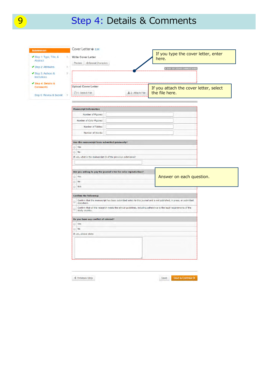# 9 Step 4: Details & Comments

| <b>Submission</b><br>◆ Step 1: Type, Title, &<br>Abstract<br>◆ Step 2: Attributes<br>s. | Cover Letter @ Edit<br><b>Write Cover Letter</b><br>$\Omega$ Special Characters<br>Preview | If you type the cover letter, enter<br>here.<br>0 OUT OF 32768 CHARACTERS                                          |
|-----------------------------------------------------------------------------------------|--------------------------------------------------------------------------------------------|--------------------------------------------------------------------------------------------------------------------|
| ◆ Step 3: Authors &<br>×<br>Institutions                                                |                                                                                            |                                                                                                                    |
| ◆ Step 4: Details &<br><b>Comments</b><br>Step 6: Review & Submit                       | Upload Cover Letter<br>1. Select File                                                      | If you attach the cover letter, select<br>the file here.<br>主 2. Attach File                                       |
|                                                                                         |                                                                                            |                                                                                                                    |
|                                                                                         | <b>Manuscript Information</b>                                                              |                                                                                                                    |
|                                                                                         | Number of Figures:                                                                         |                                                                                                                    |
|                                                                                         | Number of Color Figures:                                                                   |                                                                                                                    |
|                                                                                         | Number of Tables:                                                                          |                                                                                                                    |
|                                                                                         | Number of Words:                                                                           |                                                                                                                    |
|                                                                                         | Has this manuscript been submitted previously?                                             |                                                                                                                    |
|                                                                                         | $\circ$<br>Yes                                                                             |                                                                                                                    |
|                                                                                         | No<br>O                                                                                    |                                                                                                                    |
|                                                                                         | If yes, what is the manuscript ID of the previous submission?                              |                                                                                                                    |
|                                                                                         |                                                                                            |                                                                                                                    |
|                                                                                         | Are you willing to pay the journal's fee for color reproduction?                           |                                                                                                                    |
|                                                                                         | O.<br>Yes                                                                                  | Answer on each question.                                                                                           |
|                                                                                         | ō<br>No                                                                                    |                                                                                                                    |
|                                                                                         | N/A<br>O                                                                                   |                                                                                                                    |
|                                                                                         |                                                                                            |                                                                                                                    |
|                                                                                         | <b>Confirm the following:</b>                                                              |                                                                                                                    |
|                                                                                         | B<br>elsewhere.                                                                            | Confirm that the manuscript has been submitted solely to this journal and is not published, in press, or submitted |
|                                                                                         | o<br>study country.                                                                        | Confirm that all the research meets the ethical guidelines, including adherence to the legal requirements of the   |
|                                                                                         | Do you have any conflict of interest?                                                      |                                                                                                                    |
|                                                                                         | Ø<br>Yes                                                                                   |                                                                                                                    |
|                                                                                         | No<br>O.                                                                                   |                                                                                                                    |
|                                                                                         | If yes, please state:                                                                      |                                                                                                                    |
|                                                                                         |                                                                                            |                                                                                                                    |
|                                                                                         | ← Previous Step                                                                            | Save & Continue ><br>Save                                                                                          |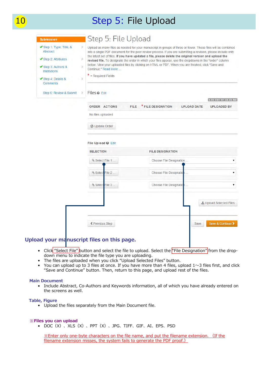### 10 Step 5: File Upload

| Step 1: Type, Title, &<br>Abstract<br>◆ Step 2: Attributes<br>◆ Step 3: Authors &<br><b>Institutions</b><br>◆ Step 4: Details &<br><b>Comments</b> | Þ<br>ý.<br>s.<br>Continue." Read More<br>$*$ = Required Fields<br>$\mathcal{L}_{\mathcal{A}}^{\mathcal{A}}(\mathcal{A})$ | the latest set of files. If you have updated a file, please delete the original version and upload the<br>below. View your uploaded files by clicking on HTML or PDF. When you are finished, click "Save and | Upload as many files as needed for your manuscript in groups of three or fewer. These files will be combined<br>into a single PDF document for the peer review process. If you are submitting a revision, please include only<br>revised file. To designate the order in which your files appear, use the dropdowns in the "order" column |
|----------------------------------------------------------------------------------------------------------------------------------------------------|--------------------------------------------------------------------------------------------------------------------------|--------------------------------------------------------------------------------------------------------------------------------------------------------------------------------------------------------------|-------------------------------------------------------------------------------------------------------------------------------------------------------------------------------------------------------------------------------------------------------------------------------------------------------------------------------------------|
| Step 6: Review & Submit                                                                                                                            | Files @ Edit<br>÷                                                                                                        |                                                                                                                                                                                                              | 0.00 OUT OF 58.59 MB                                                                                                                                                                                                                                                                                                                      |
|                                                                                                                                                    | <b>ORDER ACTIONS</b>                                                                                                     | * FILE DESIGNATION<br><b>FILE</b>                                                                                                                                                                            | <b>UPLOAD DATE</b><br><b>UPLOADED BY</b>                                                                                                                                                                                                                                                                                                  |
|                                                                                                                                                    | No files uploaded                                                                                                        |                                                                                                                                                                                                              |                                                                                                                                                                                                                                                                                                                                           |
|                                                                                                                                                    | C Update Order                                                                                                           |                                                                                                                                                                                                              |                                                                                                                                                                                                                                                                                                                                           |
|                                                                                                                                                    | File Upload @ Edit                                                                                                       |                                                                                                                                                                                                              |                                                                                                                                                                                                                                                                                                                                           |
|                                                                                                                                                    | <b>SELECTION</b>                                                                                                         | <b>FILE DESIGNATION</b>                                                                                                                                                                                      |                                                                                                                                                                                                                                                                                                                                           |
|                                                                                                                                                    | Select File 1                                                                                                            | Choose File Designation                                                                                                                                                                                      | ۰                                                                                                                                                                                                                                                                                                                                         |
|                                                                                                                                                    | Select File 2.                                                                                                           | Choose File Designatio                                                                                                                                                                                       | ۳                                                                                                                                                                                                                                                                                                                                         |
|                                                                                                                                                    | File 3<br>Select <sup>®</sup>                                                                                            | Choose File Designatio                                                                                                                                                                                       | ۳                                                                                                                                                                                                                                                                                                                                         |
|                                                                                                                                                    |                                                                                                                          |                                                                                                                                                                                                              | L Upload Selected Files                                                                                                                                                                                                                                                                                                                   |
|                                                                                                                                                    |                                                                                                                          |                                                                                                                                                                                                              |                                                                                                                                                                                                                                                                                                                                           |

- Click "Select File" button and select the file to upload. Select the "File Designation" from the dropdown menu to indicate the file type you are uploading.
- The files are uploaded when you click "Upload Selected Files" button.
- You can upload up to 3 files at once. If you have more than 4 files, upload 1∼3 files first, and click "Save and Continue" button. Then, return to this page, and upload rest of the files.

#### **Main Document**

• Include Abstract, Co-Authors and Keywords information, all of which you have already entered on the screens as well.

#### **Table, Figure**

• Upload the files separately from the Main Document file.

#### ※**Files you can upload**

• DOC(X)、XLS(X)、PPT(X)、JPG、TIFF、GIF、AI、EPS、PSD

※Enter only one-byte characters on the file name, and put the filename extension. (If the filename extension misses, the system fails to generate the PDF proof.)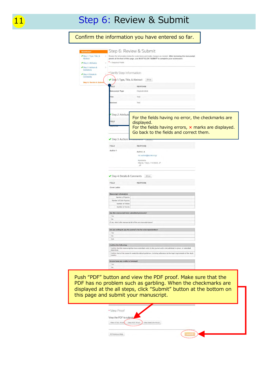# 11 Step 6: Review & Submit

| Step 1: Type, Title, &<br>Abstract<br>Step 2: Attributes<br>Step 3: Authors &<br>Institutions<br>Step 4: Details &<br><b>Comments</b><br>Step 6: Review & Submit | $\star$ = Required Fields<br>* Verify Step Information<br><b>IELD</b><br><b>Manuscript Type</b><br>Title | Review the information below for correctness and make changes as needed. After reviewing the manuscript<br>proofs at the foot of this page, you MUST CLICK 'SUBMIT' to complete your submission.<br>Step 1: Type, Title, & Abstract 2 Edit<br><b>RESPONSE</b><br>Original Article<br>Test |
|------------------------------------------------------------------------------------------------------------------------------------------------------------------|----------------------------------------------------------------------------------------------------------|-------------------------------------------------------------------------------------------------------------------------------------------------------------------------------------------------------------------------------------------------------------------------------------------|
|                                                                                                                                                                  |                                                                                                          |                                                                                                                                                                                                                                                                                           |
|                                                                                                                                                                  |                                                                                                          |                                                                                                                                                                                                                                                                                           |
|                                                                                                                                                                  |                                                                                                          |                                                                                                                                                                                                                                                                                           |
|                                                                                                                                                                  |                                                                                                          |                                                                                                                                                                                                                                                                                           |
|                                                                                                                                                                  |                                                                                                          |                                                                                                                                                                                                                                                                                           |
|                                                                                                                                                                  |                                                                                                          |                                                                                                                                                                                                                                                                                           |
|                                                                                                                                                                  |                                                                                                          |                                                                                                                                                                                                                                                                                           |
|                                                                                                                                                                  |                                                                                                          |                                                                                                                                                                                                                                                                                           |
|                                                                                                                                                                  | Abstract                                                                                                 | Test                                                                                                                                                                                                                                                                                      |
|                                                                                                                                                                  |                                                                                                          |                                                                                                                                                                                                                                                                                           |
|                                                                                                                                                                  |                                                                                                          |                                                                                                                                                                                                                                                                                           |
|                                                                                                                                                                  | Step 2: Attribute                                                                                        | For the fields having no error, the checkmarks are                                                                                                                                                                                                                                        |
|                                                                                                                                                                  | <b>IELD</b>                                                                                              | displayed.                                                                                                                                                                                                                                                                                |
|                                                                                                                                                                  |                                                                                                          | For the fields having errors, $\times$ marks are displayed.                                                                                                                                                                                                                               |
|                                                                                                                                                                  |                                                                                                          | Go back to the fields and correct them.                                                                                                                                                                                                                                                   |
|                                                                                                                                                                  | Step 3: Authors                                                                                          |                                                                                                                                                                                                                                                                                           |
|                                                                                                                                                                  | FIELD                                                                                                    | <b>RESPONSE</b>                                                                                                                                                                                                                                                                           |
|                                                                                                                                                                  | Author 1                                                                                                 | Author, A                                                                                                                                                                                                                                                                                 |
|                                                                                                                                                                  |                                                                                                          | mc-author@kyorin.co.jp                                                                                                                                                                                                                                                                    |
|                                                                                                                                                                  |                                                                                                          | Kyorinsha<br>Kita-ku, Tokyo, 114-0024, JP                                                                                                                                                                                                                                                 |
|                                                                                                                                                                  |                                                                                                          | JP.                                                                                                                                                                                                                                                                                       |
|                                                                                                                                                                  |                                                                                                          |                                                                                                                                                                                                                                                                                           |
|                                                                                                                                                                  | Step 4: Details & Comments                                                                               | $\mathbb Z$ Edit                                                                                                                                                                                                                                                                          |
|                                                                                                                                                                  | FIELD<br>Cover Letter                                                                                    | <b>RESPONSE</b>                                                                                                                                                                                                                                                                           |
|                                                                                                                                                                  |                                                                                                          |                                                                                                                                                                                                                                                                                           |
|                                                                                                                                                                  | <b>Manuscript Information</b><br>Number of Figures:                                                      |                                                                                                                                                                                                                                                                                           |
|                                                                                                                                                                  | Number of Color Figures:<br>Number of Tables:                                                            |                                                                                                                                                                                                                                                                                           |
|                                                                                                                                                                  | Number of Words:                                                                                         |                                                                                                                                                                                                                                                                                           |
|                                                                                                                                                                  | Has this manuscript been submitted previously?                                                           |                                                                                                                                                                                                                                                                                           |
|                                                                                                                                                                  | Yes<br>No                                                                                                |                                                                                                                                                                                                                                                                                           |
|                                                                                                                                                                  |                                                                                                          | If yes, what is the manuscript ID of the previous submission?                                                                                                                                                                                                                             |
|                                                                                                                                                                  |                                                                                                          | Are you willing to pay the journal's fee for color reproduction?                                                                                                                                                                                                                          |
|                                                                                                                                                                  | No                                                                                                       |                                                                                                                                                                                                                                                                                           |
|                                                                                                                                                                  | N/A                                                                                                      |                                                                                                                                                                                                                                                                                           |
|                                                                                                                                                                  | <b>Confirm the following:</b>                                                                            |                                                                                                                                                                                                                                                                                           |
|                                                                                                                                                                  | elsewhere.                                                                                               | Confirm that the manuscript has been submitted solely to this journal and is not published, in press, or submitted                                                                                                                                                                        |
|                                                                                                                                                                  | country.                                                                                                 | Confirm that all the research meets the ethical guidelines, including adherence to the legal requirements of the study                                                                                                                                                                    |
|                                                                                                                                                                  | Do you have any conflict of interest?                                                                    |                                                                                                                                                                                                                                                                                           |
|                                                                                                                                                                  | Yes<br>No                                                                                                |                                                                                                                                                                                                                                                                                           |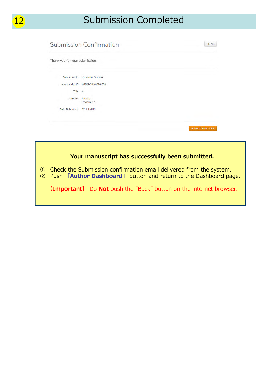| <b>Submission Confirmation</b> |                          | <b>B</b> Print     |
|--------------------------------|--------------------------|--------------------|
| Thank you for your submission  |                          |                    |
| <b>Submitted to</b>            | Kyorinsha Demo A         |                    |
| <b>Manuscript ID</b>           | WRK4-2016-07-0003        |                    |
| Title a                        |                          |                    |
| <b>Authors</b>                 | Author, A<br>Reviewer, A |                    |
| <b>Date Submitted</b>          | 12-Jul-2016              |                    |
|                                |                          |                    |
|                                |                          | Author Dashboard > |

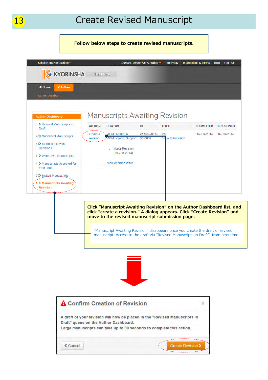### **Follow below steps to create revised manuscripts.**

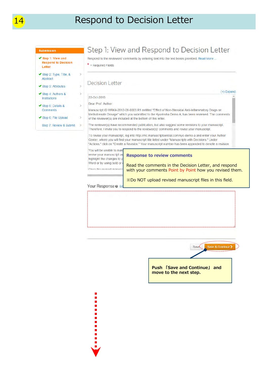### Respond to Decision Letter

#### **Submission**

| Step 1: View and<br><b>Respond to Decision</b><br>Letter |  |
|----------------------------------------------------------|--|
| Step 2: Type, Title, $\&$<br>Abstract                    |  |
| $\blacktriangleright$ Step 3: Attributes                 |  |
| Step 4: Authors &<br>Institutions                        |  |
| Step 5: Details &<br><b>Comments</b>                     |  |
| Step 6: File Upload                                      |  |
| Step 7: Review & Submit                                  |  |

### Step 1: View and Respond to Decision Letter

Respond to the reviewers' comments by entering text into the text boxes provided. Read More ...

 $*$  = Required Fields

### **Decision Letter**

#### 22-Oct-2015

#### Dear Prof. Author:

Manuscript ID WRK4-2012-08-0003.R1 entitled "Effect of Non-Steroidal Anti-Inflammatory Drugs on Methotrexate Dosage" which you submitted to the Kyorinsha Demo A, has been reviewed. The comments of the reviewer(s) are included at the bottom of this letter.

The reviewer(s) have recommended publication, but also suggest some revisions to your manuscript. Therefore, I invite you to respond to the reviewer(s)' comments and revise your manuscript.

To revise your manuscript, log into http://mc.manuscriptcentral.com/kyo-demo-a and enter your Author Center, where you will find your manuscript title listed under "Manuscripts with Decisions." Under "Actions," click on "Create a Revision." Your manuscript number has been appended to denote a revision.

You will be unable to mak revise your manuscript us highlight the changes to Word or by using bold or Onen the reviend manue

#### **Response to review comments**

Read the comments in the Decision Letter, and respond with your comments Point by Point how you revised them.

 $(+)$  Expand

※Do NOT upload revised manuscript files in this field.

#### Your Response @ E

Ľ

..........

Save. Save & Continue > **Push 「Save and Continue」 and move to the next step.**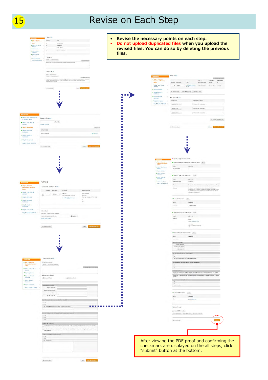### 15 **Revise on Each Step**

Type o o • **Revise the necessary points on each step.** TYPE<br>Original Article<br>Case Report<br>Nevem Article<br>Letter to the Dit CHORE • **Do not upload duplicated files when you upload the**  ř. **revised files. You can do so by deleting the previous**  š. **files.**  \*Title 0 co<br>nose 0 \* Abstract @ nm Virita or Paste Abstra<br>| Prema | G. Bancal Dr Ellen e sa -<br>Step 1: View and<br>Respond to Decis<br>Latter The effect of <sup>\*</sup> FILE<br>DESIGNATION **UPLOAT** UPLA<br>BY  $FLE$ FILE  $\overline{1 + \frac{1}{2}}$  seed Step 2: Type, Title, a Chronous Step Step 3: Ammite 一 一 一 一 C update Order New HTML proof View PDF proof Step 5: Details & File Upload @ Edit **SELECTION** FILE DES  $\eta_{\rm t}\, {\rm Stect}$  File 1 Select File 2 Choose File Our **N** Select Pile 3 Keywords @ Edit Step 1: View<br>to Decision L  $\pm$ upi Step 2: Type, Title, &  $+$  Add C Previous Step Save | Pag →<br>Step 3: Attri **MAXIMUM S** Step 4: Auto<br>Institutions 52 KEYWORDS Step & Deta a. i Step 6: File Uploat Step 7: Review & 9 ₹ Previous Step Save Save & Continue Step 1: View and Re  $\overline{\alpha}$  and **FILD** Step 2: Type, Title, & Abstract Print PIELD Authors  $\frac{1}{2}$ \* Selected Authors @ Ed ORDER  $MSTTUTION$  $\frac{1}{\sqrt{2}}$   $\left| \frac{1}{2} + \frac{1}{2} \right|$  Select 1. Kyoni<br>3-46-10<br>Kita au  $200000000$ Step 3: Attributes Step 4: Au RESPONSE VIELD<br>Kennet Step 5: Details & .<br>Neurostienia Step 6: File Up Add Author Step & Authors & Institutions 25m Find using Author's email address<br>AuthorsEmist@example.com Q Search FIELD<br>Author REPOVIE Author, A<br>Incoalhor(puom.co.p Kyosesta<br>Kita-kit, Tokyo, 194-2024, 20<br>Jo  $\langle$  Previous Step Since Since & Step 5: Details & Comments arian i<br>I **RESPONSE**  $F(t)$ **Pouce Late Hanuscript Info** berof Co<br>Nombe ver Letter ø **Mile Cover Liste**  $\begin{array}{c} \text{of each} \\ \text{.} \end{array}$ [1] Seed File 4.2. Atlach File Step 6: File Upload Rice Number of Words ritud<br>Film t nss **Has this manu** 8 H H M . View Proof View the PDF to: ng to pay the journal's fee for color  $\label{eq:W} \text{Wow-HHAE-Pred} \qquad \text{WW}$  $\frac{1}{2}$  is  $\epsilon$  thrastal bay Confirm the Confirm that<br>elsewhere.<br>Confirm that<br>study country Do you After viewing the PDF proof and confirming the checkmark are displayed on the all steps, click "submit" button at the bottom.C Previous Step Size: Says & Con